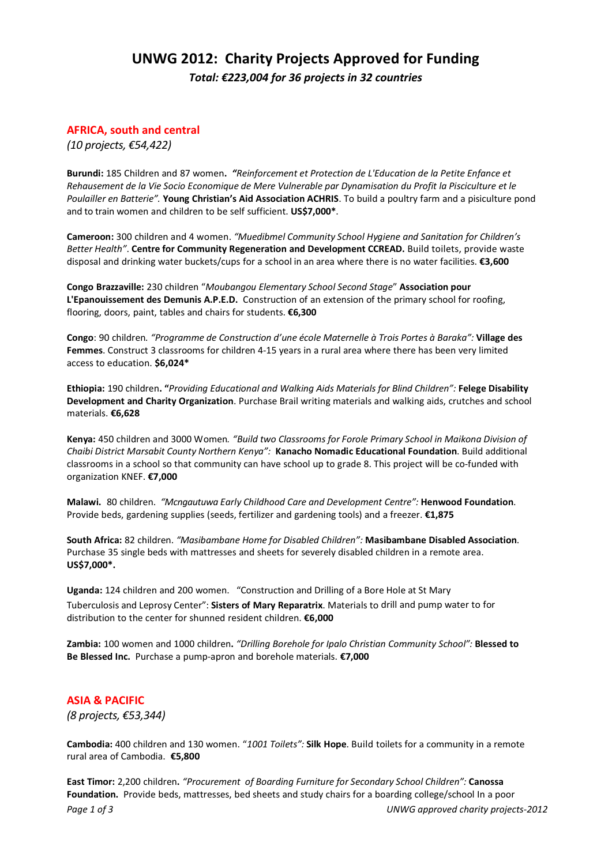# **UNWG 2012: Charity Projects Approved for Funding** *Total: €223,004 for 36 projects in 32 countries*

## **AFRICA, south and central**

*(10 projects, €54,422)*

**Burundi:** 185 Children and 87 women**.** *"Reinforcement et Protection de L'Education de la Petite Enfance et* Rehausement de la Vie Socio Economique de Mere Vulnerable par Dynamisation du Profit la Pisciculture et le *Poulailler en Batterie".* **Young Christian's Aid Association ACHRIS**. To build a poultry farm and a pisiculture pond and to train women and children to be self sufficient. **US\$7,000\***.

**Cameroon:** 300 children and 4 women. *"Muedibmel Community School Hygiene and Sanitation for Children's Better Health"*. **Centre for Community Regeneration and Development CCREAD.** Build toilets, provide waste disposal and drinking water buckets/cups for a school in an area where there is no water facilities. **€3,600**

**Congo Brazzaville:** 230 children "*Moubangou Elementary School Second Stage*" **Association pour L'Epanouissement des Demunis A.P.E.D.** Construction of an extension of the primary school for roofing, flooring, doors, paint, tables and chairs for students. **€6,300**

**Congo**: 90 children*. "Programme de Construction d'une école Maternelle à Trois Portes à Baraka":* **Village des Femmes**. Construct 3 classrooms for children 4‐15 years in a rural area where there has been very limited access to education. **\$6,024\***

**Ethiopia:** 190 children**. "***Providing Educational and Walking Aids Materials for Blind Children":* **Felege Disability Development and Charity Organization**. Purchase Brail writing materials and walking aids, crutches and school materials. **€6,628**

**Kenya:** 450 children and 3000 Women*. "Build two Classrooms for Forole Primary School in Maikona Division of Chaibi District Marsabit County Northern Kenya":* **Kanacho Nomadic Educational Foundation**. Build additional classrooms in a school so that community can have school up to grade 8. This project will be co-funded with organization KNEF. **€7,000**

**Malawi.** 80 children. *"Mcngautuwa Early Childhood Care and Development Centre":* **Henwood Foundation**. Provide beds, gardening supplies (seeds, fertilizer and gardening tools) and a freezer. **€1,875**

**South Africa:** 82 children. *"Masibambane Home for Disabled Children":* **Masibambane Disabled Association**. Purchase 35 single beds with mattresses and sheets for severely disabled children in a remote area. **US\$7,000\*.**

**Uganda:** 124 children and 200 women. "Construction and Drilling of a Bore Hole at St Mary Tuberculosis and Leprosy Center": **Sisters of Mary Reparatrix**. Materials to drill and pump water to for distribution to the center for shunned resident children. **€6,000**

**Zambia:** 100 women and 1000 children**.** *"Drilling Borehole for Ipalo Christian Community School":* **Blessed to Be Blessed Inc.** Purchase a pump‐apron and borehole materials. **€7,000**

### **ASIA & PACIFIC**

*(8 projects, €53,344)*

**Cambodia:** 400 children and 130 women. "*1001 Toilets":* **Silk Hope**. Build toilets for a community in a remote rural area of Cambodia. **€5,800**

*Page 1 of 3 UNWG approved charity projects‐2012* **East Timor:** 2,200 children**.** *"Procurement of Boarding Furniture for Secondary School Children":* **Canossa** Foundation. Provide beds, mattresses, bed sheets and study chairs for a boarding college/school In a poor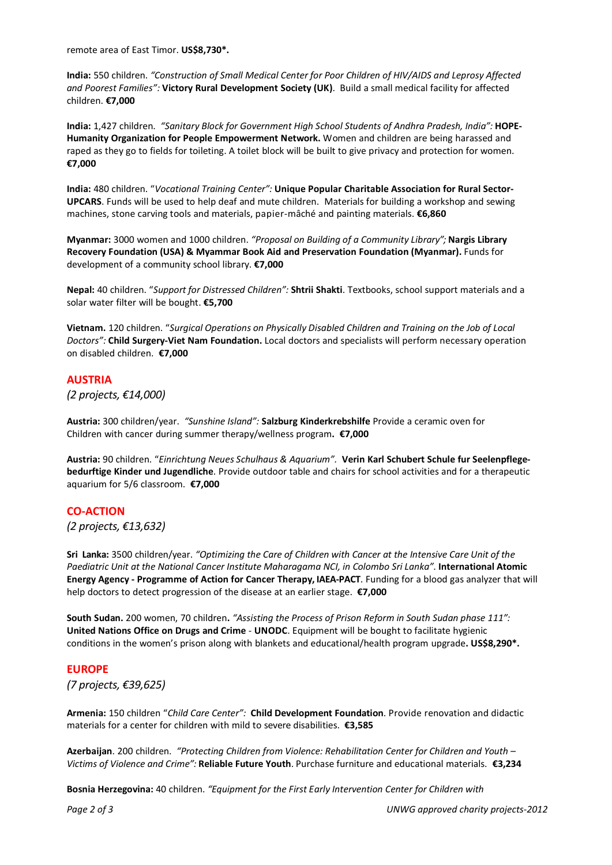remote area of East Timor. **US\$8,730\*.**

**India:** 550 children. *"Construction of Small Medical Center for Poor Children of HIV/AIDS and Leprosy Affected and Poorest Families":* **Victory Rural Development Society (UK)**. Build a small medical facility for affected children. **€7,000**

**India:** 1,427 children. *"Sanitary Block for Government High School Students of Andhra Pradesh, India":* **HOPE‐ Humanity Organization for People Empowerment Network.** Women and children are being harassed and raped as they go to fields for toileting. A toilet block will be built to give privacy and protection for women. **€7,000**

**India:** 480 children. "*Vocational Training Center":* **Unique Popular Charitable Association for Rural Sector‐ UPCARS**. Funds will be used to help deaf and mute children. Materials for building a workshop and sewing machines, stone carving tools and materials, papier‐mâché and painting materials. **€6,860**

**Myanmar:** 3000 women and 1000 children. *"Proposal on Building of a Community Library";* **Nargis Library Recovery Foundation (USA) & Myammar Book Aid and Preservation Foundation (Myanmar).** Funds for development of a community school library. **€7,000**

**Nepal:** 40 children. "*Support for Distressed Children":* **Shtrii Shakti**. Textbooks, school support materials and a solar water filter will be bought. **€5,700**

**Vietnam.** 120 children. "*Surgical Operations on Physically Disabled Children and Training on the Job of Local Doctors":* **Child Surgery‐Viet Nam Foundation.** Local doctors and specialists will perform necessary operation on disabled children. **€7,000**

### **AUSTRIA**

*(2 projects, €14,000)*

**Austria:** 300 children/year. *"Sunshine Island":* **Salzburg Kinderkrebshilfe** Provide a ceramic oven for Children with cancer during summer therapy/wellness program**. €7,000**

**Austria:** 90 children. "*Einrichtung Neues Schulhaus & Aquarium".* **Verin Karl Schubert Schule fur Seelenpflege‐ bedurftige Kinder und Jugendliche**. Provide outdoor table and chairs for school activities and for a therapeutic aquarium for 5/6 classroom. **€7,000**

### **CO‐ACTION**

*(2 projects, €13,632)*

Sri Lanka: 3500 children/year. "Optimizing the Care of Children with Cancer at the Intensive Care Unit of the *Paediatric Unit at the National Cancer Institute Maharagama NCI, in Colombo Sri Lanka"*. **International Atomic Energy Agency ‐ Programme of Action for Cancer Therapy, IAEA‐PACT**. Funding for a blood gas analyzer that will help doctors to detect progression of the disease at an earlier stage. **€7,000**

**South Sudan.** 200 women, 70 children**.** *"Assisting the Process of Prison Reform in South Sudan phase 111":* **United Nations Office on Drugs and Crime** ‐ **UNODC**. Equipment will be bought to facilitate hygienic conditions in the women's prison along with blankets and educational/health program upgrade**. US\$8,290\*.**

### **EUROPE**

*(7 projects, €39,625)*

**Armenia:** 150 children "*Child Care Center":* **Child Development Foundation**. Provide renovation and didactic materials for a center for children with mild to severe disabilities. **€3,585**

**Azerbaijan**. 200 children. *"Protecting Children from Violence: Rehabilitation Center for Children and Youth – Victims of Violence and Crime":* **Reliable Future Youth**. Purchase furniture and educational materials. **€3,234**

**Bosnia Herzegovina:** 40 children. *"Equipment for the First Early Intervention Center for Children with*